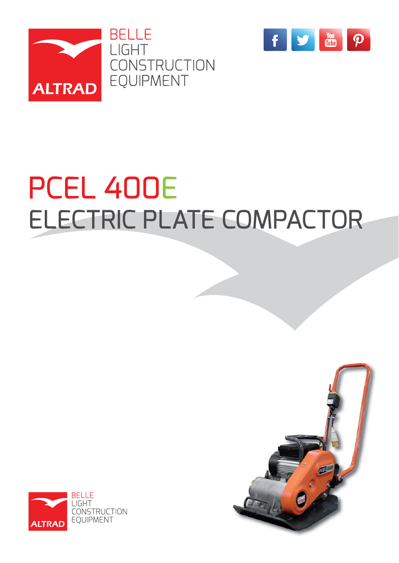



# PCEL 400E ELECTRIC PLATE COMPACTOR